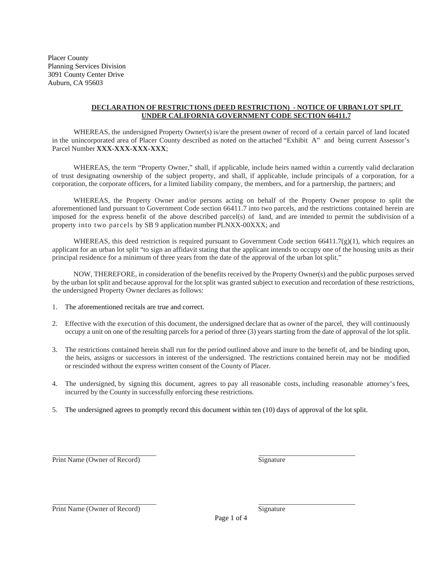Placer County Planning Services Division 3091 County Center Drive Auburn, CA 95603

## **DECLARATION OF RESTRICTIONS (DEED RESTRICTION) - NOTICE OF URBAN LOT SPLIT UNDER CALIFORNIA GOVERNMENT CODE SECTION 66411.7**

WHEREAS, the undersigned Property Owner(s) is/are the present owner of record of a certain parcel of land located in the unincorporated area of Placer County described as noted on the attached "Exhibit A" and being current Assessor's Parcel Number **XXX-XXX-XXX-XXX**;

WHEREAS, the term "Property Owner," shall, if applicable, include heirs named within a currently valid declaration of trust designating ownership of the subject property, and shall, if applicable, include principals of a corporation, for a corporation, the corporate officers, for a limited liability company, the members, and for a partnership, the partners; and

WHEREAS, the Property Owner and/or persons acting on behalf of the Property Owner propose to split the aforementioned land pursuant to Government Code section 66411.7 into two parcels, and the restrictions contained herein are imposed for the express benefit of the above described parcel(s) of land, and are intended to permit the subdivision of a property into two parcels by SB 9 application number PLNXX-00XXX; and

WHEREAS, this deed restriction is required pursuant to Government Code section  $66411.7(g)(1)$ , which requires an applicant for an urban lot split "to sign an affidavit stating that the applicant intends to occupy one of the housing units as their principal residence for a minimum of three years from the date of the approval of the urban lot split."

NOW, THEREFORE, in consideration of the benefits received by the Property Owner(s) and the public purposes served by the urban lot split and because approval for the lot split was granted subject to execution and recordation of these restrictions, the undersigned Property Owner declares as follows:

- 1. The aforementioned recitals are true and correct.
- 2. Effective with the execution of this document, the undersigned declare that as owner of the parcel, they will continuously occupy a unit on one of the resulting parcels for a period of three (3) years starting from the date of approval of the lot split.
- 3. The restrictions contained herein shall run for the period outlined above and inure to the benefit of, and be binding upon, the heirs, assigns or successors in interest of the undersigned. The restrictions contained herein may not be modified or rescinded without the express written consent of the County of Placer.
- 4. The undersigned, by signing this document, agrees to pay all reasonable costs, including reasonable attorney's fees, incurred by the County in successfully enforcing these restrictions.
- 5. The undersigned agrees to promptly record this document within ten (10) days of approval of the lot split.

Print Name (Owner of Record) Signature

Print Name (Owner of Record) Signature

Page 1 of 4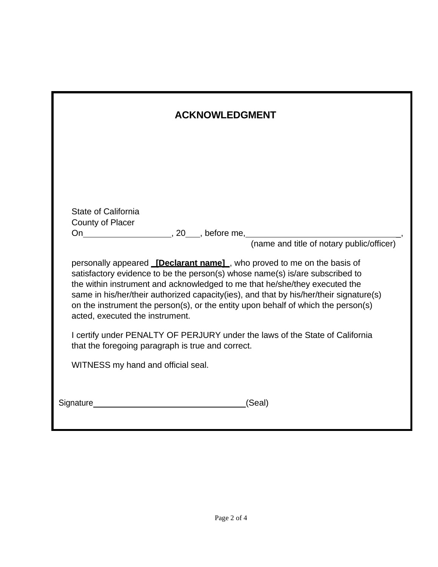| <b>ACKNOWLEDGMENT</b>                                                                                                                                                                                                                                                                                                                                                                                                                                           |
|-----------------------------------------------------------------------------------------------------------------------------------------------------------------------------------------------------------------------------------------------------------------------------------------------------------------------------------------------------------------------------------------------------------------------------------------------------------------|
|                                                                                                                                                                                                                                                                                                                                                                                                                                                                 |
| <b>State of California</b><br>County of Placer                                                                                                                                                                                                                                                                                                                                                                                                                  |
| personally appeared <b>[Declarant name]</b> , who proved to me on the basis of<br>satisfactory evidence to be the person(s) whose name(s) is/are subscribed to<br>the within instrument and acknowledged to me that he/she/they executed the<br>same in his/her/their authorized capacity (ies), and that by his/her/their signature(s)<br>on the instrument the person(s), or the entity upon behalf of which the person(s)<br>acted, executed the instrument. |
| I certify under PENALTY OF PERJURY under the laws of the State of California<br>that the foregoing paragraph is true and correct.                                                                                                                                                                                                                                                                                                                               |
| WITNESS my hand and official seal.                                                                                                                                                                                                                                                                                                                                                                                                                              |
| (Seal)                                                                                                                                                                                                                                                                                                                                                                                                                                                          |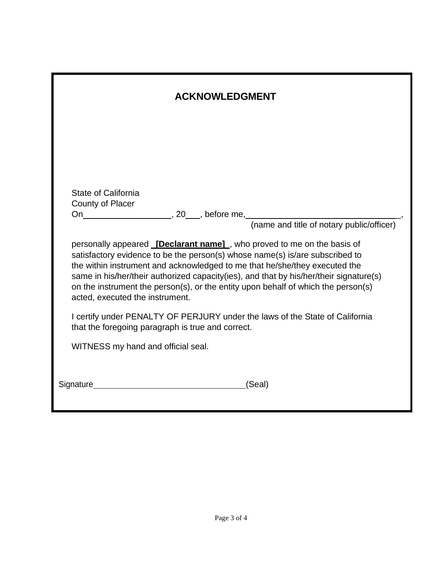| <b>ACKNOWLEDGMENT</b>                                                                                                                                                                                                                                                                                                                                                                                                                                           |
|-----------------------------------------------------------------------------------------------------------------------------------------------------------------------------------------------------------------------------------------------------------------------------------------------------------------------------------------------------------------------------------------------------------------------------------------------------------------|
|                                                                                                                                                                                                                                                                                                                                                                                                                                                                 |
|                                                                                                                                                                                                                                                                                                                                                                                                                                                                 |
| <b>State of California</b><br>County of Placer                                                                                                                                                                                                                                                                                                                                                                                                                  |
| personally appeared <i>[Declarant name]</i> , who proved to me on the basis of<br>satisfactory evidence to be the person(s) whose name(s) is/are subscribed to<br>the within instrument and acknowledged to me that he/she/they executed the<br>same in his/her/their authorized capacity (ies), and that by his/her/their signature(s)<br>on the instrument the person(s), or the entity upon behalf of which the person(s)<br>acted, executed the instrument. |
| I certify under PENALTY OF PERJURY under the laws of the State of California<br>that the foregoing paragraph is true and correct.                                                                                                                                                                                                                                                                                                                               |
| WITNESS my hand and official seal.                                                                                                                                                                                                                                                                                                                                                                                                                              |
| Signature <b>Signature Signature</b><br>(Seal)                                                                                                                                                                                                                                                                                                                                                                                                                  |